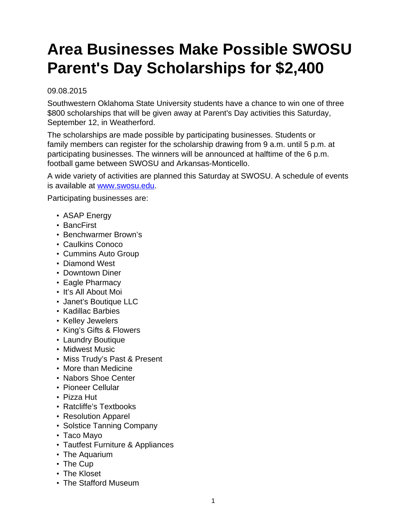## **Area Businesses Make Possible SWOSU Parent's Day Scholarships for \$2,400**

## 09.08.2015

Southwestern Oklahoma State University students have a chance to win one of three \$800 scholarships that will be given away at Parent's Day activities this Saturday, September 12, in Weatherford.

The scholarships are made possible by participating businesses. Students or family members can register for the scholarship drawing from 9 a.m. until 5 p.m. at participating businesses. The winners will be announced at halftime of the 6 p.m. football game between SWOSU and Arkansas-Monticello.

A wide variety of activities are planned this Saturday at SWOSU. A schedule of events is available at [www.swosu.edu.](http://www.swosu.edu)

Participating businesses are:

- ASAP Energy
- BancFirst
- Benchwarmer Brown's
- Caulkins Conoco
- Cummins Auto Group
- Diamond West
- Downtown Diner
- Eagle Pharmacy
- It's All About Moi
- Janet's Boutique LLC
- Kadillac Barbies
- Kelley Jewelers
- King's Gifts & Flowers
- Laundry Boutique
- Midwest Music
- Miss Trudy's Past & Present
- More than Medicine
- Nabors Shoe Center
- Pioneer Cellular
- Pizza Hut
- Ratcliffe's Textbooks
- Resolution Apparel
- Solstice Tanning Company
- Taco Mayo
- Tautfest Furniture & Appliances
- The Aquarium
- The Cup
- The Kloset
- The Stafford Museum